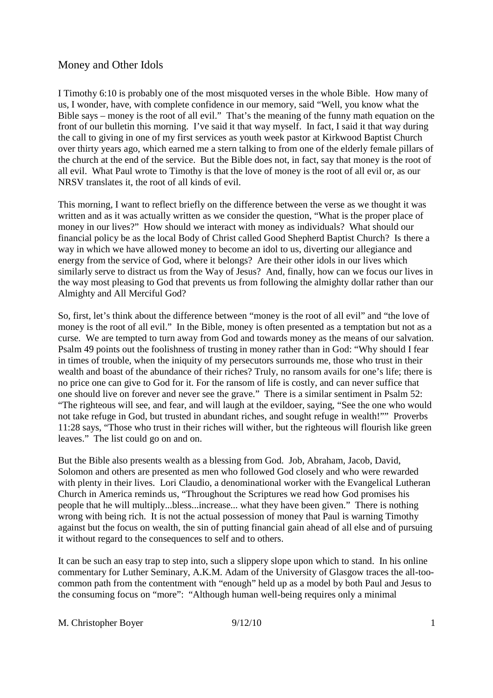I Timothy 6:10 is probably one of the most misquoted verses in the whole Bible. How many of us, I wonder, have, with complete confidence in our memory, said "Well, you know what the Bible says – money is the root of all evil." That's the meaning of the funny math equation on the front of our bulletin this morning. I've said it that way myself. In fact, I said it that way during the call to giving in one of my first services as youth week pastor at Kirkwood Baptist Church over thirty years ago, which earned me a stern talking to from one of the elderly female pillars of the church at the end of the service. But the Bible does not, in fact, say that money is the root of all evil. What Paul wrote to Timothy is that the love of money is the root of all evil or, as our NRSV translates it, the root of all kinds of evil.

This morning, I want to reflect briefly on the difference between the verse as we thought it was written and as it was actually written as we consider the question, "What is the proper place of money in our lives?" How should we interact with money as individuals? What should our financial policy be as the local Body of Christ called Good Shepherd Baptist Church? Is there a way in which we have allowed money to become an idol to us, diverting our allegiance and energy from the service of God, where it belongs? Are their other idols in our lives which similarly serve to distract us from the Way of Jesus? And, finally, how can we focus our lives in the way most pleasing to God that prevents us from following the almighty dollar rather than our Almighty and All Merciful God?

So, first, let's think about the difference between "money is the root of all evil" and "the love of money is the root of all evil." In the Bible, money is often presented as a temptation but not as a curse. We are tempted to turn away from God and towards money as the means of our salvation. Psalm 49 points out the foolishness of trusting in money rather than in God: "Why should I fear in times of trouble, when the iniquity of my persecutors surrounds me, those who trust in their wealth and boast of the abundance of their riches? Truly, no ransom avails for one's life; there is no price one can give to God for it. For the ransom of life is costly, and can never suffice that one should live on forever and never see the grave." There is a similar sentiment in Psalm 52: "The righteous will see, and fear, and will laugh at the evildoer, saying, "See the one who would not take refuge in God, but trusted in abundant riches, and sought refuge in wealth!"" Proverbs 11:28 says, "Those who trust in their riches will wither, but the righteous will flourish like green leaves." The list could go on and on.

But the Bible also presents wealth as a blessing from God. Job, Abraham, Jacob, David, Solomon and others are presented as men who followed God closely and who were rewarded with plenty in their lives. Lori Claudio, a denominational worker with the Evangelical Lutheran Church in America reminds us, "Throughout the Scriptures we read how God promises his people that he will multiply...bless...increase... what they have been given." There is nothing wrong with being rich. It is not the actual possession of money that Paul is warning Timothy against but the focus on wealth, the sin of putting financial gain ahead of all else and of pursuing it without regard to the consequences to self and to others.

It can be such an easy trap to step into, such a slippery slope upon which to stand. In his online commentary for Luther Seminary, A.K.M. Adam of the University of Glasgow traces the all-toocommon path from the contentment with "enough" held up as a model by both Paul and Jesus to the consuming focus on "more": "Although human well-being requires only a minimal

M. Christopher Boyer 9/12/10 1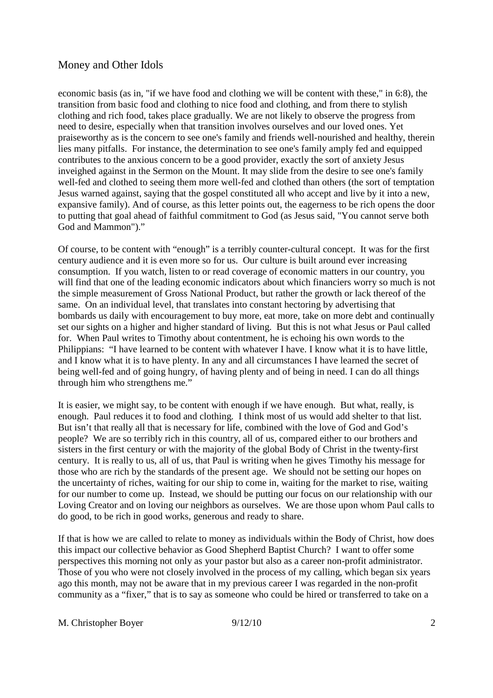economic basis (as in, "if we have food and clothing we will be content with these," in 6:8), the transition from basic food and clothing to nice food and clothing, and from there to stylish clothing and rich food, takes place gradually. We are not likely to observe the progress from need to desire, especially when that transition involves ourselves and our loved ones. Yet praiseworthy as is the concern to see one's family and friends well-nourished and healthy, therein lies many pitfalls. For instance, the determination to see one's family amply fed and equipped contributes to the anxious concern to be a good provider, exactly the sort of anxiety Jesus inveighed against in the Sermon on the Mount. It may slide from the desire to see one's family well-fed and clothed to seeing them more well-fed and clothed than others (the sort of temptation Jesus warned against, saying that the gospel constituted all who accept and live by it into a new, expansive family). And of course, as this letter points out, the eagerness to be rich opens the door to putting that goal ahead of faithful commitment to God (as Jesus said, "You cannot serve both God and Mammon")."

Of course, to be content with "enough" is a terribly counter-cultural concept. It was for the first century audience and it is even more so for us. Our culture is built around ever increasing consumption. If you watch, listen to or read coverage of economic matters in our country, you will find that one of the leading economic indicators about which financiers worry so much is not the simple measurement of Gross National Product, but rather the growth or lack thereof of the same. On an individual level, that translates into constant hectoring by advertising that bombards us daily with encouragement to buy more, eat more, take on more debt and continually set our sights on a higher and higher standard of living. But this is not what Jesus or Paul called for. When Paul writes to Timothy about contentment, he is echoing his own words to the Philippians: "I have learned to be content with whatever I have. I know what it is to have little, and I know what it is to have plenty. In any and all circumstances I have learned the secret of being well-fed and of going hungry, of having plenty and of being in need. I can do all things through him who strengthens me."

It is easier, we might say, to be content with enough if we have enough. But what, really, is enough. Paul reduces it to food and clothing. I think most of us would add shelter to that list. But isn't that really all that is necessary for life, combined with the love of God and God's people? We are so terribly rich in this country, all of us, compared either to our brothers and sisters in the first century or with the majority of the global Body of Christ in the twenty-first century. It is really to us, all of us, that Paul is writing when he gives Timothy his message for those who are rich by the standards of the present age. We should not be setting our hopes on the uncertainty of riches, waiting for our ship to come in, waiting for the market to rise, waiting for our number to come up. Instead, we should be putting our focus on our relationship with our Loving Creator and on loving our neighbors as ourselves. We are those upon whom Paul calls to do good, to be rich in good works, generous and ready to share.

If that is how we are called to relate to money as individuals within the Body of Christ, how does this impact our collective behavior as Good Shepherd Baptist Church? I want to offer some perspectives this morning not only as your pastor but also as a career non-profit administrator. Those of you who were not closely involved in the process of my calling, which began six years ago this month, may not be aware that in my previous career I was regarded in the non-profit community as a "fixer," that is to say as someone who could be hired or transferred to take on a

M. Christopher Boyer  $9/12/10$  2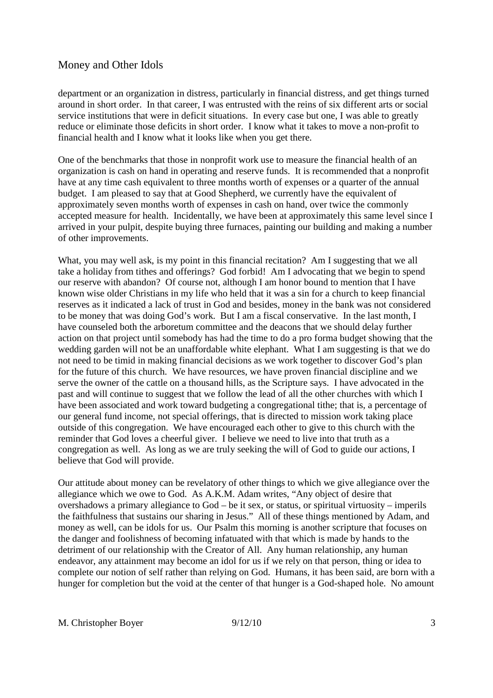department or an organization in distress, particularly in financial distress, and get things turned around in short order. In that career, I was entrusted with the reins of six different arts or social service institutions that were in deficit situations. In every case but one, I was able to greatly reduce or eliminate those deficits in short order. I know what it takes to move a non-profit to financial health and I know what it looks like when you get there.

One of the benchmarks that those in nonprofit work use to measure the financial health of an organization is cash on hand in operating and reserve funds. It is recommended that a nonprofit have at any time cash equivalent to three months worth of expenses or a quarter of the annual budget. I am pleased to say that at Good Shepherd, we currently have the equivalent of approximately seven months worth of expenses in cash on hand, over twice the commonly accepted measure for health. Incidentally, we have been at approximately this same level since I arrived in your pulpit, despite buying three furnaces, painting our building and making a number of other improvements.

What, you may well ask, is my point in this financial recitation? Am I suggesting that we all take a holiday from tithes and offerings? God forbid! Am I advocating that we begin to spend our reserve with abandon? Of course not, although I am honor bound to mention that I have known wise older Christians in my life who held that it was a sin for a church to keep financial reserves as it indicated a lack of trust in God and besides, money in the bank was not considered to be money that was doing God's work. But I am a fiscal conservative. In the last month, I have counseled both the arboretum committee and the deacons that we should delay further action on that project until somebody has had the time to do a pro forma budget showing that the wedding garden will not be an unaffordable white elephant. What I am suggesting is that we do not need to be timid in making financial decisions as we work together to discover God's plan for the future of this church. We have resources, we have proven financial discipline and we serve the owner of the cattle on a thousand hills, as the Scripture says. I have advocated in the past and will continue to suggest that we follow the lead of all the other churches with which I have been associated and work toward budgeting a congregational tithe; that is, a percentage of our general fund income, not special offerings, that is directed to mission work taking place outside of this congregation. We have encouraged each other to give to this church with the reminder that God loves a cheerful giver. I believe we need to live into that truth as a congregation as well. As long as we are truly seeking the will of God to guide our actions, I believe that God will provide.

Our attitude about money can be revelatory of other things to which we give allegiance over the allegiance which we owe to God. As A.K.M. Adam writes, "Any object of desire that overshadows a primary allegiance to God – be it sex, or status, or spiritual virtuosity – imperils the faithfulness that sustains our sharing in Jesus." All of these things mentioned by Adam, and money as well, can be idols for us. Our Psalm this morning is another scripture that focuses on the danger and foolishness of becoming infatuated with that which is made by hands to the detriment of our relationship with the Creator of All. Any human relationship, any human endeavor, any attainment may become an idol for us if we rely on that person, thing or idea to complete our notion of self rather than relying on God. Humans, it has been said, are born with a hunger for completion but the void at the center of that hunger is a God-shaped hole. No amount

M. Christopher Boyer 9/12/10 3